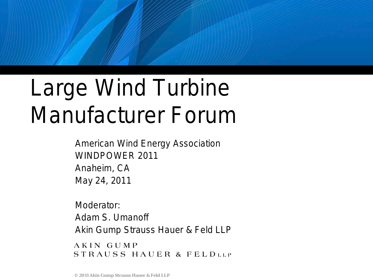# Large Wind Turbine Manufacturer Forum

American Wind Energy Association WINDPOWER 2011 Anaheim, CA May 24, 2011

Moderator: Adam S. Umanoff Akin Gump Strauss Hauer & Feld LLP

AKIN GUMP STRAUSS HAUER & FELDLLP

**© 2011 Akin Gump Strauss Hauer & Feld LLP**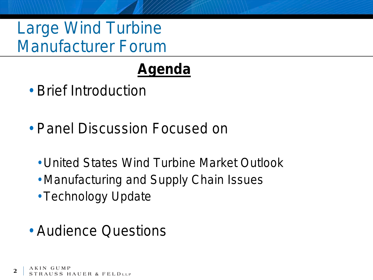Large Wind Turbine Manufacturer Forum

# **Agenda**

- Brief Introduction
- Panel Discussion Focused on
	- United States Wind Turbine Market Outlook
	- Manufacturing and Supply Chain Issues
	- Technology Update
- Audience Questions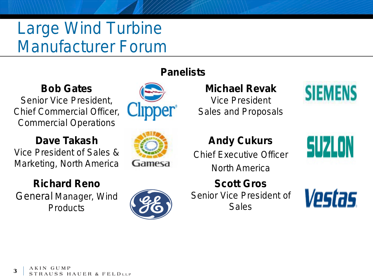# Large Wind Turbine Manufacturer Forum

#### **Bob Gates**

Senior Vice President, Chief Commercial Officer, Commercial Operations

#### **Dave Takash**

Vice President of Sales & Marketing, North America

#### **Richard Reno**

General Manager, Wind **Products** 

#### **Panelists**





**Michael Revak** Vice President Sales and Proposals



#### **Andy Cukurs**

Chief Executive Officer North America

**Scott Gros** Senior Vice President of Sales



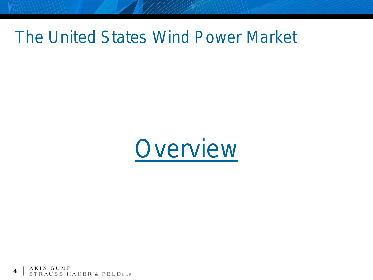#### The United States Wind Power Market



AKIN GU **4**STRAUSS HAUER & FELDLLP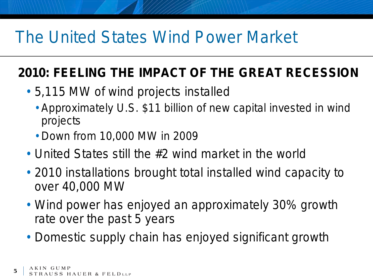### The United States Wind Power Market

#### **2010: FEELING THE IMPACT OF THE GREAT RECESSION**

- 5,115 MW of wind projects installed
	- Approximately U.S. \$11 billion of new capital invested in wind projects
	- Down from 10,000 MW in 2009
- United States still the #2 wind market in the world
- 2010 installations brought total installed wind capacity to over 40,000 MW
- Wind power has enjoyed an approximately 30% growth rate over the past 5 years
- Domestic supply chain has enjoyed significant growth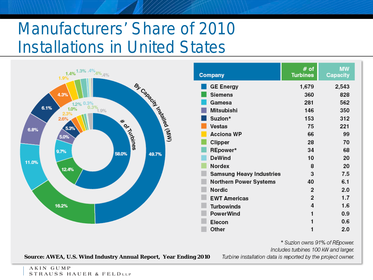# Manufacturers' Share of 2010 Installations in United States



**Source: AWEA, U.S. Wind Industry Annual Report, Year Ending 2010**

Turbine installation data is reported by the project owner.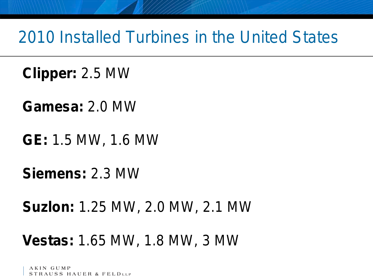#### 2010 Installed Turbines in the United States

**Clipper:** 2.5 MW

**Gamesa:** 2.0 MW

**GE:** 1.5 MW, 1.6 MW

**Siemens:** 2.3 MW

**Suzlon:** 1.25 MW, 2.0 MW, 2.1 MW

#### **Vestas:** 1.65 MW, 1.8 MW, 3 MW

STRAUSS HAUER & FELDLLP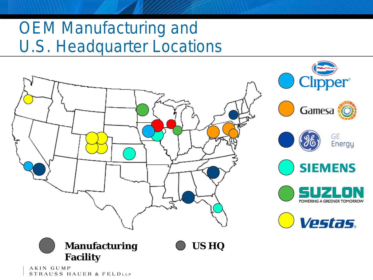### OEM Manufacturing and U.S. Headquarter Locations



AKIN GUMP STRAUSS HAUER & FELDLLP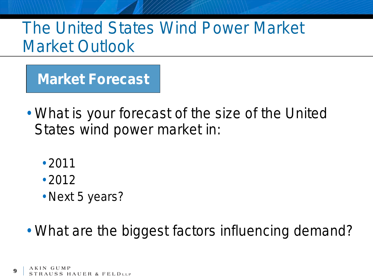**Market Forecast**

- What is your forecast of the size of the United States wind power market in:
	- 2011
	- 2012
	- Next 5 years?
- What are the biggest factors influencing demand?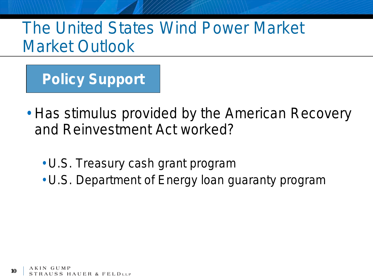**Policy Support**

- Has stimulus provided by the American Recovery and Reinvestment Act worked?
	- U.S. Treasury cash grant program
	- U.S. Department of Energy loan guaranty program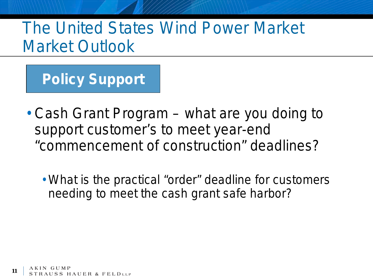**Policy Support**

- Cash Grant Program what are you doing to support customer's to meet year-end "commencement of construction" deadlines?
	- What is the practical "order" deadline for customers needing to meet the cash grant safe harbor?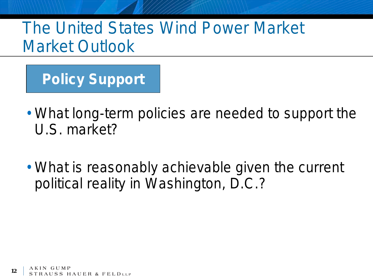**Policy Support**

- What long-term policies are needed to support the U.S. market?
- What is reasonably achievable given the current political reality in Washington, D.C.?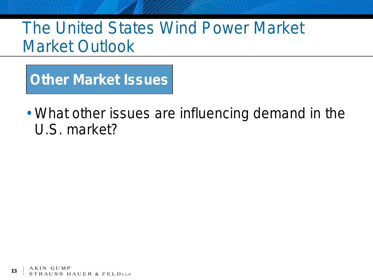**Other Market Issues**

• What other issues are influencing demand in the U.S. market?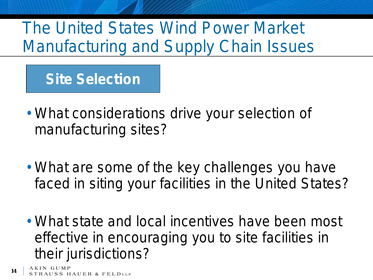#### **Site Selection**

- What considerations drive your selection of manufacturing sites?
- What are some of the key challenges you have faced in siting your facilities in the United States?
- What state and local incentives have been most effective in encouraging you to site facilities in their jurisdictions?

**14 AUSS HAUER & FELDLLP**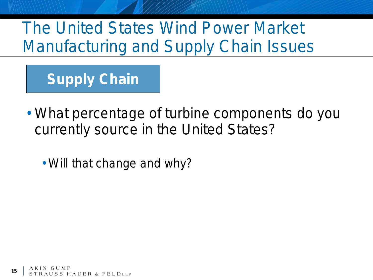**Supply Chain**

• What percentage of turbine components do you currently source in the United States?

• Will that change and why?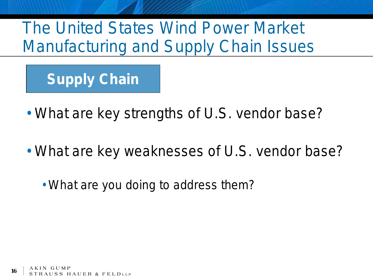**Supply Chain**

- What are key strengths of U.S. vendor base?
- What are key weaknesses of U.S. vendor base?
	- What are you doing to address them?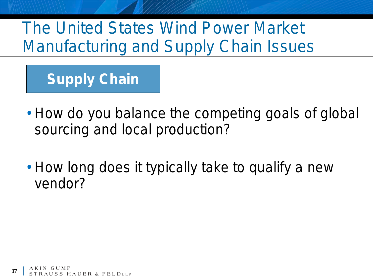### **Supply Chain**

- How do you balance the competing goals of global sourcing and local production?
- How long does it typically take to qualify a new vendor?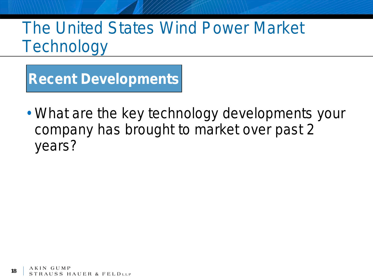**Recent Developments**

• What are the key technology developments your company has brought to market over past 2 years?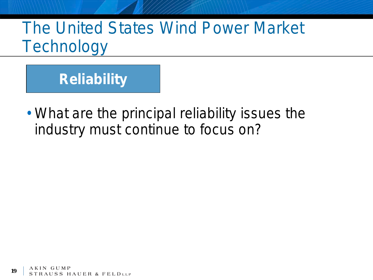

• What are the principal reliability issues the industry must continue to focus on?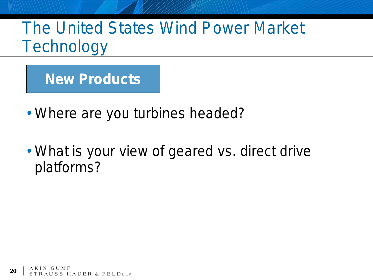**New Products**

- Where are you turbines headed?
- What is your view of geared vs. direct drive platforms?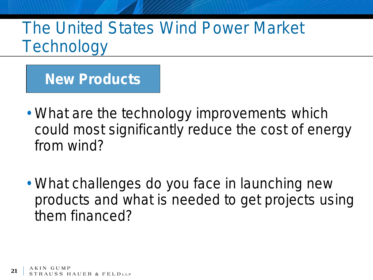**New Products**

- What are the technology improvements which could most significantly reduce the cost of energy from wind?
- What challenges do you face in launching new products and what is needed to get projects using them financed?